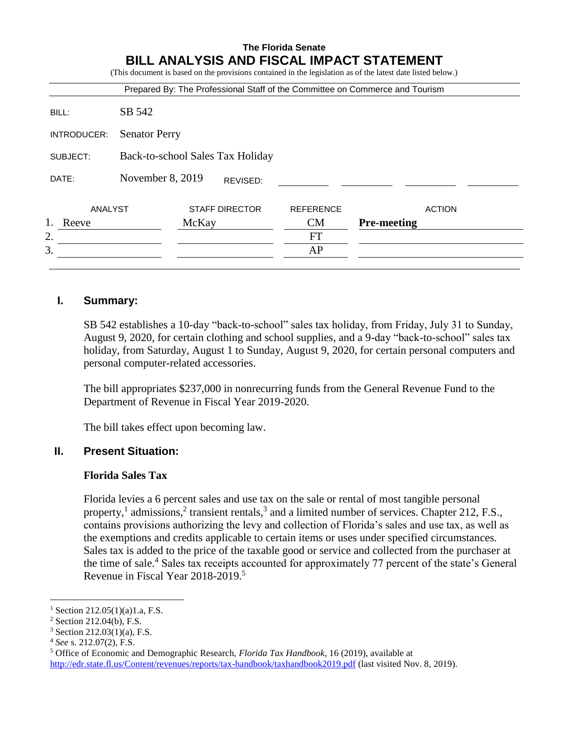| SB 542<br><b>Senator Perry</b><br>Back-to-school Sales Tax Holiday<br>November 8, 2019<br>REVISED:<br>ANALYST<br><b>STAFF DIRECTOR</b><br><b>REFERENCE</b> |       |  |  |  |           | Prepared By: The Professional Staff of the Committee on Commerce and Tourism |  |
|------------------------------------------------------------------------------------------------------------------------------------------------------------|-------|--|--|--|-----------|------------------------------------------------------------------------------|--|
| INTRODUCER:<br>SUBJECT:<br>DATE:                                                                                                                           | BILL: |  |  |  |           |                                                                              |  |
|                                                                                                                                                            |       |  |  |  |           |                                                                              |  |
|                                                                                                                                                            |       |  |  |  |           |                                                                              |  |
|                                                                                                                                                            |       |  |  |  |           |                                                                              |  |
|                                                                                                                                                            |       |  |  |  |           | <b>ACTION</b>                                                                |  |
| CM<br><b>Pre-meeting</b><br>Reeve<br>McKay                                                                                                                 | 2.    |  |  |  | <b>FT</b> |                                                                              |  |
|                                                                                                                                                            | 3.    |  |  |  | AP        |                                                                              |  |

## **I. Summary:**

SB 542 establishes a 10-day "back-to-school" sales tax holiday, from Friday, July 31 to Sunday, August 9, 2020, for certain clothing and school supplies, and a 9-day "back-to-school" sales tax holiday, from Saturday, August 1 to Sunday, August 9, 2020, for certain personal computers and personal computer-related accessories.

The bill appropriates \$237,000 in nonrecurring funds from the General Revenue Fund to the Department of Revenue in Fiscal Year 2019-2020.

The bill takes effect upon becoming law.

# **II. Present Situation:**

## **Florida Sales Tax**

Florida levies a 6 percent sales and use tax on the sale or rental of most tangible personal property,<sup>1</sup> admissions,<sup>2</sup> transient rentals,<sup>3</sup> and a limited number of services. Chapter 212, F.S., contains provisions authorizing the levy and collection of Florida's sales and use tax, as well as the exemptions and credits applicable to certain items or uses under specified circumstances. Sales tax is added to the price of the taxable good or service and collected from the purchaser at the time of sale.<sup>4</sup> Sales tax receipts accounted for approximately 77 percent of the state's General Revenue in Fiscal Year 2018-2019.<sup>5</sup>

 $\overline{a}$ 

<sup>&</sup>lt;sup>1</sup> Section 212.05(1)(a)1.a, F.S.

<sup>2</sup> Section 212.04(b), F.S.

<sup>3</sup> Section 212.03(1)(a), F.S.

<sup>4</sup> *See* s. 212.07(2), F.S.

<sup>5</sup> Office of Economic and Demographic Research, *Florida Tax Handbook*, 16 (2019), available at <http://edr.state.fl.us/Content/revenues/reports/tax-handbook/taxhandbook2019.pdf> (last visited Nov. 8, 2019).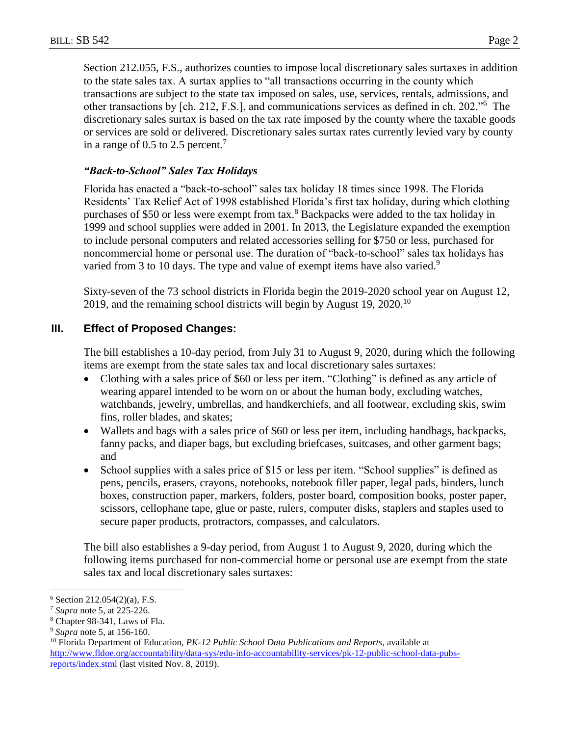Section 212.055, F.S., authorizes counties to impose local discretionary sales surtaxes in addition to the state sales tax. A surtax applies to "all transactions occurring in the county which transactions are subject to the state tax imposed on sales, use, services, rentals, admissions, and other transactions by [ch. 212, F.S.], and communications services as defined in ch. 202."<sup>6</sup> The discretionary sales surtax is based on the tax rate imposed by the county where the taxable goods or services are sold or delivered. Discretionary sales surtax rates currently levied vary by county

## *"Back-to-School" Sales Tax Holidays*

in a range of  $0.5$  to  $2.5$  percent.<sup>7</sup>

Florida has enacted a "back-to-school" sales tax holiday 18 times since 1998. The Florida Residents' Tax Relief Act of 1998 established Florida's first tax holiday, during which clothing purchases of \$50 or less were exempt from tax.<sup>8</sup> Backpacks were added to the tax holiday in 1999 and school supplies were added in 2001. In 2013, the Legislature expanded the exemption to include personal computers and related accessories selling for \$750 or less, purchased for noncommercial home or personal use. The duration of "back-to-school" sales tax holidays has varied from 3 to 10 days. The type and value of exempt items have also varied.<sup>9</sup>

Sixty-seven of the 73 school districts in Florida begin the 2019-2020 school year on August 12, 2019, and the remaining school districts will begin by August 19, 2020.<sup>10</sup>

## **III. Effect of Proposed Changes:**

The bill establishes a 10-day period, from July 31 to August 9, 2020, during which the following items are exempt from the state sales tax and local discretionary sales surtaxes:

- Clothing with a sales price of \$60 or less per item. "Clothing" is defined as any article of wearing apparel intended to be worn on or about the human body, excluding watches, watchbands, jewelry, umbrellas, and handkerchiefs, and all footwear, excluding skis, swim fins, roller blades, and skates;
- Wallets and bags with a sales price of \$60 or less per item, including handbags, backpacks, fanny packs, and diaper bags, but excluding briefcases, suitcases, and other garment bags; and
- School supplies with a sales price of \$15 or less per item. "School supplies" is defined as pens, pencils, erasers, crayons, notebooks, notebook filler paper, legal pads, binders, lunch boxes, construction paper, markers, folders, poster board, composition books, poster paper, scissors, cellophane tape, glue or paste, rulers, computer disks, staplers and staples used to secure paper products, protractors, compasses, and calculators.

The bill also establishes a 9-day period, from August 1 to August 9, 2020, during which the following items purchased for non-commercial home or personal use are exempt from the state sales tax and local discretionary sales surtaxes:

 $\overline{a}$  $6$  Section 212.054(2)(a), F.S.

<sup>7</sup> *Supra* note 5, at 225-226.

<sup>8</sup> Chapter 98-341, Laws of Fla.

<sup>9</sup> *Supra* note 5, at 156-160.

<sup>10</sup> Florida Department of Education, *PK-12 Public School Data Publications and Reports*, available at [http://www.fldoe.org/accountability/data-sys/edu-info-accountability-services/pk-12-public-school-data-pubs](http://www.fldoe.org/accountability/data-sys/edu-info-accountability-services/pk-12-public-school-data-pubs-reports/index.stml)[reports/index.stml](http://www.fldoe.org/accountability/data-sys/edu-info-accountability-services/pk-12-public-school-data-pubs-reports/index.stml) (last visited Nov. 8, 2019).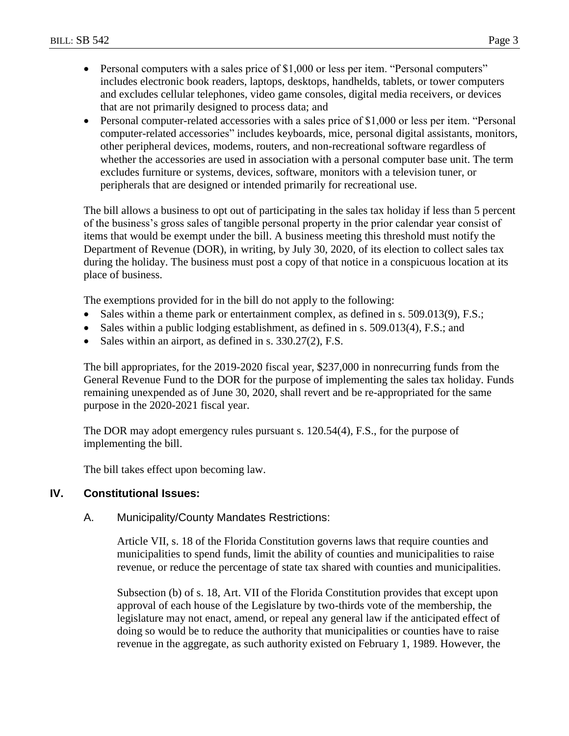- Personal computers with a sales price of \$1,000 or less per item. "Personal computers" includes electronic book readers, laptops, desktops, handhelds, tablets, or tower computers and excludes cellular telephones, video game consoles, digital media receivers, or devices that are not primarily designed to process data; and
- Personal computer-related accessories with a sales price of \$1,000 or less per item. "Personal computer-related accessories" includes keyboards, mice, personal digital assistants, monitors, other peripheral devices, modems, routers, and non-recreational software regardless of whether the accessories are used in association with a personal computer base unit. The term excludes furniture or systems, devices, software, monitors with a television tuner, or peripherals that are designed or intended primarily for recreational use.

The bill allows a business to opt out of participating in the sales tax holiday if less than 5 percent of the business's gross sales of tangible personal property in the prior calendar year consist of items that would be exempt under the bill. A business meeting this threshold must notify the Department of Revenue (DOR), in writing, by July 30, 2020, of its election to collect sales tax during the holiday. The business must post a copy of that notice in a conspicuous location at its place of business.

The exemptions provided for in the bill do not apply to the following:

- Sales within a theme park or entertainment complex, as defined in s. 509.013(9), F.S.;
- Sales within a public lodging establishment, as defined in s. 509.013(4), F.S.; and
- Sales within an airport, as defined in s. 330.27(2), F.S.

The bill appropriates, for the 2019-2020 fiscal year, \$237,000 in nonrecurring funds from the General Revenue Fund to the DOR for the purpose of implementing the sales tax holiday. Funds remaining unexpended as of June 30, 2020, shall revert and be re-appropriated for the same purpose in the 2020-2021 fiscal year.

The DOR may adopt emergency rules pursuant s. 120.54(4), F.S., for the purpose of implementing the bill.

The bill takes effect upon becoming law.

## **IV. Constitutional Issues:**

## A. Municipality/County Mandates Restrictions:

Article VII, s. 18 of the Florida Constitution governs laws that require counties and municipalities to spend funds, limit the ability of counties and municipalities to raise revenue, or reduce the percentage of state tax shared with counties and municipalities.

Subsection (b) of s. 18, Art. VII of the Florida Constitution provides that except upon approval of each house of the Legislature by two-thirds vote of the membership, the legislature may not enact, amend, or repeal any general law if the anticipated effect of doing so would be to reduce the authority that municipalities or counties have to raise revenue in the aggregate, as such authority existed on February 1, 1989. However, the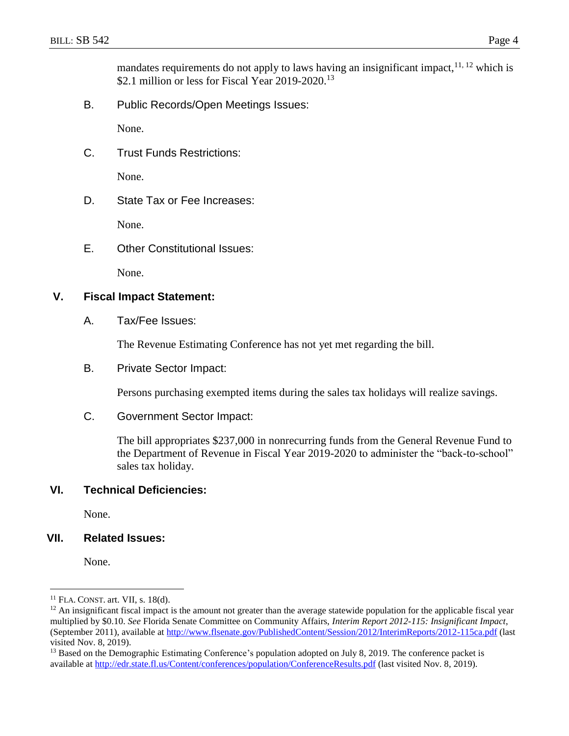mandates requirements do not apply to laws having an insignificant impact,  $11, 12$  which is \$2.1 million or less for Fiscal Year 2019-2020.<sup>13</sup>

B. Public Records/Open Meetings Issues:

None.

C. Trust Funds Restrictions:

None.

D. State Tax or Fee Increases:

None.

E. Other Constitutional Issues:

None.

#### **V. Fiscal Impact Statement:**

A. Tax/Fee Issues:

The Revenue Estimating Conference has not yet met regarding the bill.

B. Private Sector Impact:

Persons purchasing exempted items during the sales tax holidays will realize savings.

C. Government Sector Impact:

The bill appropriates \$237,000 in nonrecurring funds from the General Revenue Fund to the Department of Revenue in Fiscal Year 2019-2020 to administer the "back-to-school" sales tax holiday.

## **VI. Technical Deficiencies:**

None.

## **VII. Related Issues:**

None.

 $\overline{a}$ 

 $11$  FLA. CONST. art. VII, s. 18(d).

 $12$  An insignificant fiscal impact is the amount not greater than the average statewide population for the applicable fiscal year multiplied by \$0.10. *See* Florida Senate Committee on Community Affairs, *Interim Report 2012-115: Insignificant Impact*, (September 2011), available at<http://www.flsenate.gov/PublishedContent/Session/2012/InterimReports/2012-115ca.pdf> (last visited Nov. 8, 2019).

<sup>&</sup>lt;sup>13</sup> Based on the Demographic Estimating Conference's population adopted on July 8, 2019. The conference packet is available at<http://edr.state.fl.us/Content/conferences/population/ConferenceResults.pdf> (last visited Nov. 8, 2019).